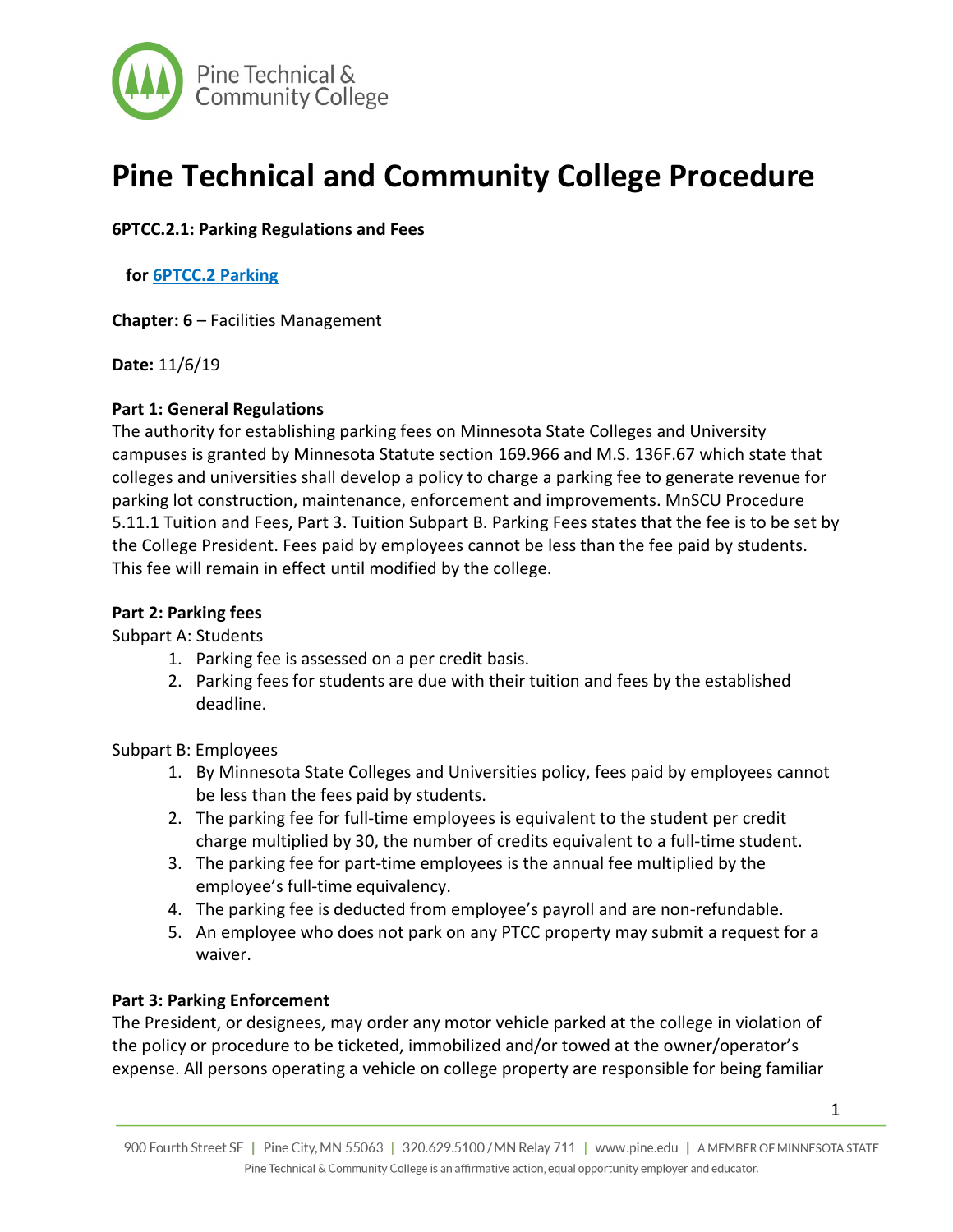

# **Pine Technical and Community College Procedure**

# **6PTCC.2.1: Parking Regulations and Fees**

## **for 6PTCC.2 Parking**

**Chapter: 6** – Facilities Management

**Date:** 11/6/19

### **Part 1: General Regulations**

The authority for establishing parking fees on Minnesota State Colleges and University campuses is granted by Minnesota Statute section 169.966 and M.S. 136F.67 which state that colleges and universities shall develop a policy to charge a parking fee to generate revenue for parking lot construction, maintenance, enforcement and improvements. MnSCU Procedure 5.11.1 Tuition and Fees, Part 3. Tuition Subpart B. Parking Fees states that the fee is to be set by the College President. Fees paid by employees cannot be less than the fee paid by students. This fee will remain in effect until modified by the college.

#### **Part 2: Parking fees**

#### Subpart A: Students

- 1. Parking fee is assessed on a per credit basis.
- 2. Parking fees for students are due with their tuition and fees by the established deadline.

Subpart B: Employees

- 1. By Minnesota State Colleges and Universities policy, fees paid by employees cannot be less than the fees paid by students.
- 2. The parking fee for full-time employees is equivalent to the student per credit charge multiplied by 30, the number of credits equivalent to a full-time student.
- 3. The parking fee for part-time employees is the annual fee multiplied by the employee's full-time equivalency.
- 4. The parking fee is deducted from employee's payroll and are non-refundable.
- 5. An employee who does not park on any PTCC property may submit a request for a waiver.

## **Part 3: Parking Enforcement**

The President, or designees, may order any motor vehicle parked at the college in violation of the policy or procedure to be ticketed, immobilized and/or towed at the owner/operator's expense. All persons operating a vehicle on college property are responsible for being familiar